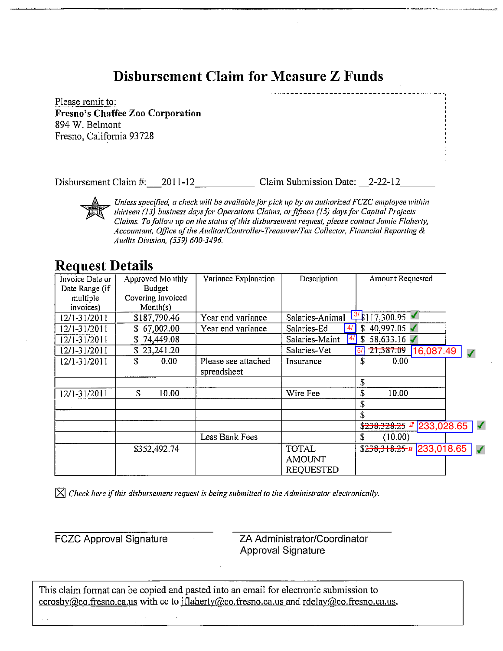# Disbursement Claim for Measure Z Funds

Please remit to: **Fresno's Chaffee Zoo Corporation** 894 W. Belmont Fresno, California 93728

Disbursement Claim #: 2011-12 Claim Submission Date: 2-22-12

Unless specified, a check will be available for pick up by an authorized FCZC employee within thirteen (13) business days for Operations Claims, or fifteen (15) days for Capital Projects Claims. To follow up on the status of this disbursement request, please contact Jamie Flaherty, Accountant, Office of the Auditor/Controller-Treasurer/Tax Collector, Financial Reporting & Audits Division, (559) 600-3496.

# **Request Details**

| Amount Requested |
|------------------|
|                  |
|                  |
|                  |
|                  |
|                  |
|                  |
| 16,087.49        |
|                  |
|                  |
|                  |
|                  |
|                  |
|                  |
| 233,028.65       |
|                  |
| 233,018.65       |
|                  |
|                  |
|                  |

 $\vert \times \vert$  Check here if this disbursement request is being submitted to the Administrator electronically.

**FCZC Approval Signature** 

ZA Administrator/Coordinator **Approval Signature** 

This claim format can be copied and pasted into an email for electronic submission to ccrosby  $@co.fresno.ca.us$  with cc to iflaherty  $@co.fresno.ca.us$  and rdelay  $@co.fresno.ca.us$ .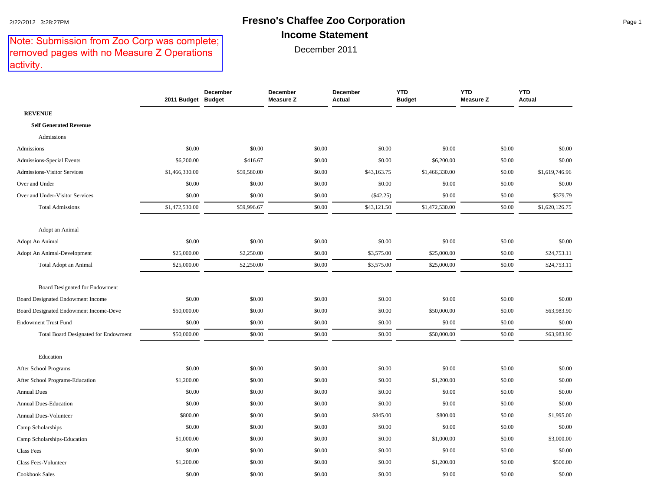### 2/22/2012 3:28:27PM **Fresno's Chaffee Zoo Corporation** Page 1 **Income Statement**

# Note: Submission from Zoo Corp was complete;<br>removed pages with no Measure Z Operations activity.

| Note: Submission from Zoo Corp was complete;<br>removed pages with no Measure Z Operations<br>activity. |                    |                 | December 2011                |                    |                             |                         |                             |
|---------------------------------------------------------------------------------------------------------|--------------------|-----------------|------------------------------|--------------------|-----------------------------|-------------------------|-----------------------------|
|                                                                                                         | 2011 Budget Budget | <b>December</b> | December<br><b>Measure Z</b> | December<br>Actual | <b>YTD</b><br><b>Budget</b> | <b>YTD</b><br>Measure Z | <b>YTD</b><br><b>Actual</b> |
| <b>REVENUE</b>                                                                                          |                    |                 |                              |                    |                             |                         |                             |
| <b>Self Generated Revenue</b>                                                                           |                    |                 |                              |                    |                             |                         |                             |
| Admissions                                                                                              |                    |                 |                              |                    |                             |                         |                             |
| Admissions                                                                                              | \$0.00             | \$0.00          | \$0.00                       | \$0.00             | \$0.00                      | \$0.00                  | \$0.00                      |
| Admissions-Special Events                                                                               | \$6,200.00         | \$416.67        | \$0.00                       | \$0.00             | \$6,200.00                  | \$0.00                  | \$0.00                      |
| <b>Admissions-Visitor Services</b>                                                                      | \$1,466,330.00     | \$59,580.00     | \$0.00                       | \$43,163.75        | \$1,466,330.00              | \$0.00                  | \$1,619,746.96              |
| Over and Under                                                                                          | \$0.00             | \$0.00          | \$0.00                       | \$0.00             | \$0.00                      | \$0.00                  | \$0.00                      |
| Over and Under-Visitor Services                                                                         | \$0.00             | \$0.00          | \$0.00                       | $(\$42.25)$        | \$0.00                      | \$0.00                  | \$379.79                    |
| <b>Total Admissions</b>                                                                                 | \$1,472,530.00     | \$59,996.67     | \$0.00                       | \$43,121.50        | \$1,472,530.00              | \$0.00                  | \$1,620,126.75              |
| Adopt an Animal                                                                                         |                    |                 |                              |                    |                             |                         |                             |
| Adopt An Animal                                                                                         | \$0.00             | \$0.00          | \$0.00                       | \$0.00             | \$0.00                      | \$0.00                  | \$0.00                      |
| Adopt An Animal-Development                                                                             | \$25,000.00        | \$2,250.00      | \$0.00                       | \$3,575.00         | \$25,000.00                 | \$0.00                  | \$24,753.11                 |
| Total Adopt an Animal                                                                                   | \$25,000.00        | \$2,250.00      | \$0.00                       | \$3,575.00         | \$25,000.00                 | \$0.00                  | \$24,753.11                 |
| Board Designated for Endowment                                                                          |                    |                 |                              |                    |                             |                         |                             |
| Board Designated Endowment Income                                                                       | \$0.00             | \$0.00          | \$0.00                       | \$0.00             | \$0.00                      | \$0.00                  | \$0.00                      |
| Board Designated Endowment Income-Deve                                                                  | \$50,000.00        | \$0.00          | \$0.00                       | \$0.00             | \$50,000.00                 | \$0.00                  | \$63,983.90                 |
| <b>Endowment Trust Fund</b>                                                                             | \$0.00             | \$0.00          | \$0.00                       | \$0.00             | \$0.00                      | \$0.00                  | \$0.00                      |
| Total Board Designated for Endowment                                                                    | \$50,000.00        | \$0.00          | \$0.00                       | \$0.00             | \$50,000.00                 | \$0.00                  | \$63,983.90                 |
| Education                                                                                               |                    |                 |                              |                    |                             |                         |                             |
| After School Programs                                                                                   | \$0.00             | \$0.00          | \$0.00                       | \$0.00             | \$0.00                      | \$0.00                  | \$0.00                      |
| After School Programs-Education                                                                         | \$1,200.00         | \$0.00          | \$0.00                       | \$0.00             | \$1,200.00                  | \$0.00                  | \$0.00                      |
| <b>Annual Dues</b>                                                                                      | \$0.00             | \$0.00          | \$0.00                       | \$0.00             | \$0.00                      | \$0.00                  | \$0.00                      |
| Annual Dues-Education                                                                                   | \$0.00             | \$0.00          | \$0.00                       | \$0.00             | \$0.00                      | \$0.00                  | \$0.00                      |
| Annual Dues-Volunteer                                                                                   | \$800.00           | \$0.00          | \$0.00                       | \$845.00           | \$800.00                    | \$0.00                  | \$1,995.00                  |
| Camp Scholarships                                                                                       | \$0.00             | \$0.00          | \$0.00                       | \$0.00             | \$0.00                      | \$0.00                  | \$0.00                      |
| Camp Scholarships-Education                                                                             | \$1,000.00         | \$0.00          | \$0.00                       | \$0.00             | \$1,000.00                  | \$0.00                  | \$3,000.00                  |
| Class Fees                                                                                              | \$0.00             | \$0.00          | \$0.00                       | \$0.00             | \$0.00                      | \$0.00                  | \$0.00                      |
| Class Fees-Volunteer                                                                                    | \$1,200.00         | \$0.00          | \$0.00                       | \$0.00             | \$1,200.00                  | \$0.00                  | \$500.00                    |
| <b>Cookbook Sales</b>                                                                                   | \$0.00             | \$0.00          | \$0.00                       | \$0.00             | \$0.00                      | \$0.00                  | \$0.00                      |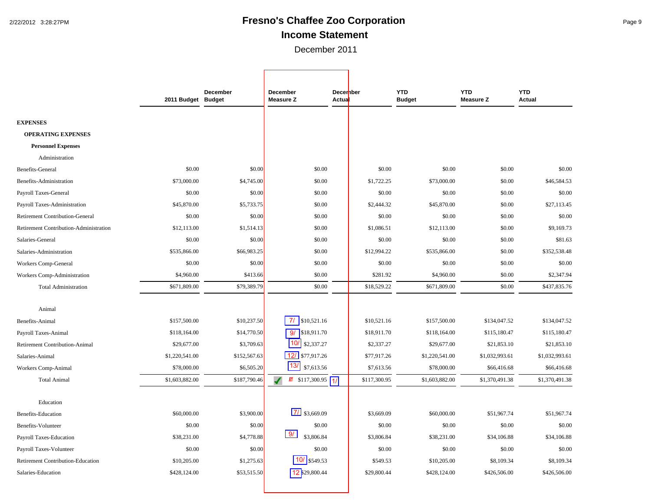# 2/22/2012 3:28:27PM **Fresno's Chaffee Zoo Corporation** Page 9 **Income Statement**

December 2011

|                                        | 2011 Budget Budget | December     | December<br><b>Measure Z</b>  | <b>December</b><br><b>Actual</b> |              | <b>YTD</b><br><b>Budget</b> | <b>YTD</b><br><b>Measure Z</b> | <b>YTD</b><br><b>Actual</b> |
|----------------------------------------|--------------------|--------------|-------------------------------|----------------------------------|--------------|-----------------------------|--------------------------------|-----------------------------|
|                                        |                    |              |                               |                                  |              |                             |                                |                             |
| <b>EXPENSES</b>                        |                    |              |                               |                                  |              |                             |                                |                             |
| <b>OPERATING EXPENSES</b>              |                    |              |                               |                                  |              |                             |                                |                             |
| <b>Personnel Expenses</b>              |                    |              |                               |                                  |              |                             |                                |                             |
| Administration                         |                    |              |                               |                                  |              |                             |                                |                             |
| Benefits-General                       | \$0.00             | \$0.00       | \$0.00                        |                                  | \$0.00       | \$0.00                      | \$0.00                         | \$0.00                      |
| Benefits-Administration                | \$73,000.00        | \$4,745.00   | \$0.00                        |                                  | \$1,722.25   | \$73,000.00                 | \$0.00                         | \$46,584.53                 |
| Payroll Taxes-General                  | \$0.00             | \$0.00       | \$0.00                        |                                  | \$0.00       | \$0.00                      | \$0.00                         | \$0.00                      |
| Payroll Taxes-Administration           | \$45,870.00        | \$5,733.75   | \$0.00                        |                                  | \$2,444.32   | \$45,870.00                 | \$0.00                         | \$27,113.45                 |
| <b>Retirement Contribution-General</b> | \$0.00             | \$0.00       | \$0.00                        |                                  | \$0.00       | \$0.00                      | \$0.00                         | \$0.00                      |
| Retirement Contribution-Administration | \$12,113.00        | \$1,514.13   | \$0.00                        |                                  | \$1,086.51   | \$12,113.00                 | \$0.00                         | \$9,169.73                  |
| Salaries-General                       | \$0.00             | \$0.00       | \$0.00                        |                                  | \$0.00       | \$0.00                      | \$0.00                         | \$81.63                     |
| Salaries-Administration                | \$535,866.00       | \$66,983.25  | \$0.00                        |                                  | \$12,994.22  | \$535,866.00                | \$0.00                         | \$352,538.48                |
| Workers Comp-General                   | \$0.00             | \$0.00       | \$0.00                        |                                  | \$0.00       | \$0.00                      | \$0.00                         | \$0.00                      |
| Workers Comp-Administration            | \$4,960.00         | \$413.66     | \$0.00                        |                                  | \$281.92     | \$4,960.00                  | \$0.00                         | \$2,347.94                  |
| <b>Total Administration</b>            | \$671,809.00       | \$79,389.79  | \$0.00                        |                                  | \$18,529.22  | \$671,809.00                | \$0.00                         | \$437,835.76                |
|                                        |                    |              |                               |                                  |              |                             |                                |                             |
| Animal                                 | \$157,500.00       | \$10,237.50  | $7/$ \$10,521.16              |                                  | \$10,521.16  | \$157,500.00                | \$134,047.52                   | \$134,047.52                |
| Benefits-Animal                        |                    |              |                               |                                  | \$18,911.70  |                             |                                | \$115,180.47                |
| Payroll Taxes-Animal                   | \$118,164.00       | \$14,770.50  | 9/<br>\$18,911.70<br>10/      |                                  |              | \$118,164.00                | \$115,180.47                   |                             |
| Retirement Contribution-Animal         | \$29,677.00        | \$3,709.63   | \$2,337.27<br>12/ \$77,917.26 |                                  | \$2,337.27   | \$29,677.00                 | \$21,853.10                    | \$21,853.10                 |
| Salaries-Animal                        | \$1,220,541.00     | \$152,567.63 | 13/                           |                                  | \$77,917.26  | \$1,220,541.00              | \$1,032,993.61                 | \$1,032,993.61              |
| Workers Comp-Animal                    | \$78,000.00        | \$6,505.20   | \$7,613.56                    |                                  | \$7,613.56   | \$78,000.00                 | \$66,416.68                    | \$66,416.68                 |
| <b>Total Animal</b>                    | \$1,603,882.00     | \$187,790.46 | $\sqrt{1}$ \$117,300.95       | $\overline{11}$                  | \$117,300.95 | \$1,603,882.00              | \$1,370,491.38                 | \$1,370,491.38              |
| Education                              |                    |              |                               |                                  |              |                             |                                |                             |
| <b>Benefits-Education</b>              | \$60,000.00        | \$3,900.00   | $71$ \$3,669.09               |                                  | \$3,669.09   | \$60,000.00                 | \$51,967.74                    | \$51,967.74                 |
| Benefits-Volunteer                     | \$0.00             | \$0.00       | \$0.00                        |                                  | \$0.00       | \$0.00                      | \$0.00                         | \$0.00                      |
| Payroll Taxes-Education                | \$38,231.00        | \$4,778.88   | 9/<br>\$3,806.84              |                                  | \$3,806.84   | \$38,231.00                 | \$34,106.88                    | \$34,106.88                 |
| Payroll Taxes-Volunteer                | \$0.00             | \$0.00       | \$0.00                        |                                  | \$0.00       | \$0.00                      | \$0.00                         | \$0.00                      |
| Retirement Contribution-Education      | \$10,205.00        | \$1,275.63   | $10/$ \$549.53                |                                  | \$549.53     | \$10,205.00                 | \$8,109.34                     | \$8,109.34                  |
| Salaries-Education                     | \$428,124.00       | \$53,515.50  | 12 \$29,800.44                |                                  | \$29,800.44  | \$428,124.00                | \$426,506.00                   | \$426,506.00                |
|                                        |                    |              |                               |                                  |              |                             |                                |                             |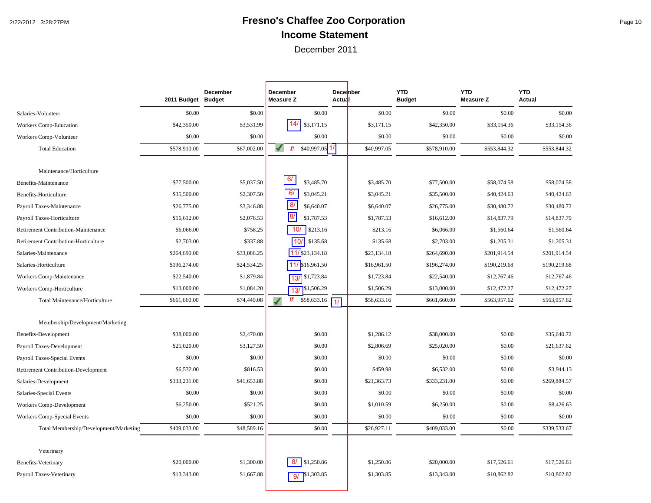# 2/22/2012 3:28:27PM **Fresno's Chaffee Zoo Corporation** Page 10 **Income Statement**

|                                            | 2011 Budget Budget | <b>December</b> | December<br><b>Measure Z</b>  | Actual          | <b>December</b> | <b>YTD</b><br><b>Budget</b> | <b>YTD</b><br><b>Measure Z</b> | <b>YTD</b><br><b>Actual</b> |
|--------------------------------------------|--------------------|-----------------|-------------------------------|-----------------|-----------------|-----------------------------|--------------------------------|-----------------------------|
| Salaries-Volunteer                         | \$0.00             | \$0.00          | \$0.00                        |                 | \$0.00          | \$0.00                      | \$0.00                         | \$0.00                      |
| Workers Comp-Education                     | \$42,350.00        | \$3,531.99      | 14 <sub>l</sub><br>\$3,171.15 |                 | \$3,171.15      | \$42,350.00                 | \$33,154.36                    | \$33,154.36                 |
| Workers Comp-Volunteer                     | \$0.00             | \$0.00          | \$0.00                        |                 | \$0.00          | \$0.00                      | \$0.00                         | \$0.00                      |
| <b>Total Education</b>                     | \$578,910.00       | \$67,002.00     | $$40,997.05$ 1/<br>晒          |                 | \$40,997.05     | \$578,910.00                | \$553,844.32                   | \$553,844.32                |
|                                            |                    |                 |                               |                 |                 |                             |                                |                             |
| Maintenance/Horticulture                   |                    |                 |                               |                 |                 |                             |                                |                             |
| Benefits-Maintenance                       | \$77,500.00        | \$5,037.50      | 6/<br>\$3,485.70              |                 | \$3,485.70      | \$77,500.00                 | \$58,074.58                    | \$58,074.58                 |
| Benefits-Horticulture                      | \$35,500.00        | \$2,307.50      | 6/<br>\$3,045.21              |                 | \$3,045.21      | \$35,500.00                 | \$40,424.63                    | \$40,424.63                 |
| Payroll Taxes-Maintenance                  | \$26,775.00        | \$3,346.88      | 8/<br>\$6,640.07              |                 | \$6,640.07      | \$26,775.00                 | \$30,480.72                    | \$30,480.72                 |
| Payroll Taxes-Horticulture                 | \$16,612.00        | \$2,076.53      | $\overline{8}$<br>\$1,787.53  |                 | \$1,787.53      | \$16,612.00                 | \$14,837.79                    | \$14,837.79                 |
| Retirement Contribution-Maintenance        | \$6,066.00         | \$758.25        | 10/<br>\$213.16               |                 | \$213.16        | \$6,066.00                  | \$1,560.64                     | \$1,560.64                  |
| Retirement Contribution-Horticulture       | \$2,703.00         | \$337.88        | 10/<br>\$135.68               |                 | \$135.68        | \$2,703.00                  | \$1,205.31                     | \$1,205.31                  |
| Salaries-Maintenance                       | \$264,690.00       | \$33,086.25     | 11/ \$23,134.18               |                 | \$23,134.18     | \$264,690.00                | \$201,914.54                   | \$201,914.54                |
| Salaries-Horticulture                      | \$196,274.00       | \$24,534.25     | 11/ \$16,961.50               |                 | \$16,961.50     | \$196,274.00                | \$190,219.68                   | \$190,219.68                |
| Workers Comp-Maintenance                   | \$22,540.00        | \$1,879.84      | 13/ \$1,723.84                |                 | \$1,723.84      | \$22,540.00                 | \$12,767.46                    | \$12,767.46                 |
| Workers Comp-Horticulture                  | \$13,000.00        | \$1,084.20      | \$1,506.29<br>13/             |                 | \$1,506.29      | \$13,000.00                 | \$12,472.27                    | \$12,472.27                 |
| Total Maintenance/Horticulture             | \$661,660.00       | \$74,449.08     | 断<br>\$58,633.16              | $\overline{11}$ | \$58,633.16     | \$661,660.00                | \$563,957.62                   | \$563,957.62                |
|                                            |                    |                 |                               |                 |                 |                             |                                |                             |
| Membership/Development/Marketing           |                    |                 |                               |                 |                 |                             |                                |                             |
| Benefits-Development                       | \$38,000.00        | \$2,470.00      | \$0.00                        |                 | \$1,286.12      | \$38,000.00                 | \$0.00                         | \$35,640.72                 |
| Payroll Taxes-Development                  | \$25,020.00        | \$3,127.50      | \$0.00                        |                 | \$2,806.69      | \$25,020.00                 | \$0.00                         | \$21,637.62                 |
| Payroll Taxes-Special Events               | \$0.00             | \$0.00          | \$0.00                        |                 | \$0.00          | \$0.00                      | \$0.00                         | \$0.00                      |
| <b>Retirement Contribution-Development</b> | \$6,532.00         | \$816.53        | \$0.00                        |                 | \$459.98        | \$6,532.00                  | \$0.00                         | \$3,944.13                  |
| Salaries-Development                       | \$333,231.00       | \$41,653.88     | \$0.00                        |                 | \$21,363.73     | \$333,231.00                | \$0.00                         | \$269,884.57                |
| Salaries-Special Events                    | \$0.00             | \$0.00          | \$0.00                        |                 | \$0.00          | \$0.00                      | \$0.00                         | \$0.00                      |
| Workers Comp-Development                   | \$6,250.00         | \$521.25        | \$0.00                        |                 | \$1,010.59      | \$6,250.00                  | \$0.00                         | \$8,426.63                  |
| Workers Comp-Special Events                | \$0.00             | \$0.00          | \$0.00                        |                 | \$0.00          | \$0.00                      | \$0.00                         | \$0.00                      |
| Total Membership/Development/Marketing     | \$409,033.00       | \$48,589.16     | \$0.00                        |                 | \$26,927.11     | \$409,033.00                | \$0.00                         | \$339,533.67                |
|                                            |                    |                 |                               |                 |                 |                             |                                |                             |
| Veterinary                                 |                    |                 |                               |                 |                 |                             |                                |                             |
| Benefits-Veterinary                        | \$20,000.00        | \$1,300.00      | 8/<br>\$1,250.86              |                 | \$1,250.86      | \$20,000.00                 | \$17,526.61                    | \$17,526.61                 |
| Payroll Taxes-Veterinary                   | \$13,343.00        | \$1,667.88      | \$1,303.85<br>9/              |                 | \$1,303.85      | \$13,343.00                 | \$10,862.82                    | \$10,862.82                 |
|                                            |                    |                 |                               |                 |                 |                             |                                |                             |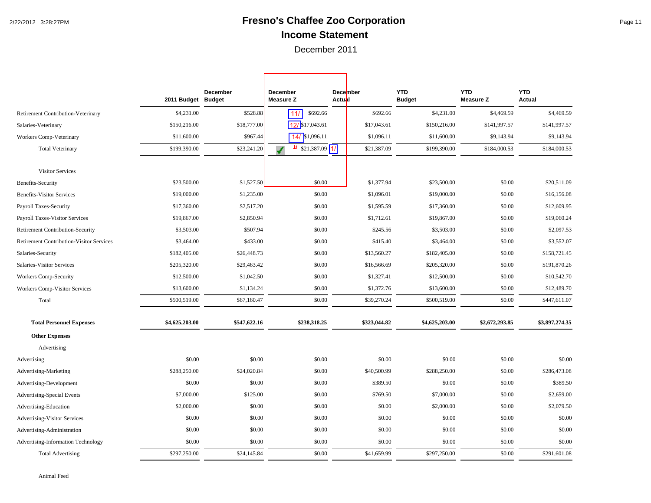# 2/22/2012 3:28:27PM **Fresno's Chaffee Zoo Corporation** Page 11 **Income Statement**

December 2011

┑

Г

|                                                 | 2011 Budget Budget | <b>December</b> | December<br><b>Measure Z</b> | <b>December</b><br><b>Actubl</b> | <b>YTD</b><br><b>Budget</b> | <b>YTD</b><br><b>Measure Z</b> | <b>YTD</b><br><b>Actual</b> |
|-------------------------------------------------|--------------------|-----------------|------------------------------|----------------------------------|-----------------------------|--------------------------------|-----------------------------|
| Retirement Contribution-Veterinary              | \$4,231.00         | \$528.88        | 11/<br>\$692.66              | \$692.66                         | \$4,231.00                  | \$4,469.59                     | \$4,469.59                  |
| Salaries-Veterinary                             | \$150,216.00       | \$18,777.00     | 12/ \$17,043.61              | \$17,043.61                      | \$150,216.00                | \$141,997.57                   | \$141,997.57                |
| <b>Workers Comp-Veterinary</b>                  | \$11,600.00        | \$967.44        | $14/$ \$1,096.11             | \$1,096.11                       | \$11,600.00                 | \$9,143.94                     | \$9,143.94                  |
| <b>Total Veterinary</b>                         | \$199,390.00       | \$23,241.20     | $$21,387.09$ 1/              | \$21,387.09                      | \$199,390.00                | \$184,000.53                   | \$184,000.53                |
| <b>Visitor Services</b>                         |                    |                 |                              |                                  |                             |                                |                             |
| Benefits-Security                               | \$23,500.00        | \$1,527.50      | \$0.00                       | \$1,377.94                       | \$23,500.00                 | \$0.00                         | \$20,511.09                 |
| <b>Benefits-Visitor Services</b>                | \$19,000.00        | \$1,235.00      | \$0.00                       | \$1,096.01                       | \$19,000.00                 | \$0.00                         | \$16,156.08                 |
| Payroll Taxes-Security                          | \$17,360.00        | \$2,517.20      | \$0.00                       | \$1,595.59                       | \$17,360.00                 | \$0.00                         | \$12,609.95                 |
| <b>Payroll Taxes-Visitor Services</b>           | \$19,867.00        | \$2,850.94      | \$0.00                       | \$1,712.61                       | \$19,867.00                 | \$0.00                         | \$19,060.24                 |
| Retirement Contribution-Security                | \$3,503.00         | \$507.94        | \$0.00                       | \$245.56                         | \$3,503.00                  | \$0.00                         | \$2,097.53                  |
| <b>Retirement Contribution-Visitor Services</b> | \$3,464.00         | \$433.00        | \$0.00                       | \$415.40                         | \$3,464.00                  | \$0.00                         | \$3,552.07                  |
| Salaries-Security                               | \$182,405.00       | \$26,448.73     | \$0.00                       | \$13,560.27                      | \$182,405.00                | \$0.00                         | \$158,721.45                |
| Salaries-Visitor Services                       | \$205,320.00       | \$29,463.42     | \$0.00                       | \$16,566.69                      | \$205,320.00                | \$0.00                         | \$191,870.26                |
| Workers Comp-Security                           | \$12,500.00        | \$1,042.50      | \$0.00                       | \$1,327.41                       | \$12,500.00                 | \$0.00                         | \$10,542.70                 |
| <b>Workers Comp-Visitor Services</b>            | \$13,600.00        | \$1,134.24      | \$0.00                       | \$1,372.76                       | \$13,600.00                 | \$0.00                         | \$12,489.70                 |
| Total                                           | \$500,519.00       | \$67,160.47     | \$0.00                       | \$39,270.24                      | \$500,519.00                | \$0.00                         | \$447,611.07                |
| <b>Total Personnel Expenses</b>                 | \$4,625,203.00     | \$547,622.16    | \$238,318.25                 | \$323,044.82                     | \$4,625,203.00              | \$2,672,293.85                 | \$3,897,274.35              |
| <b>Other Expenses</b>                           |                    |                 |                              |                                  |                             |                                |                             |
| Advertising                                     |                    |                 |                              |                                  |                             |                                |                             |
| Advertising                                     | \$0.00             | \$0.00          | \$0.00                       | \$0.00                           | \$0.00                      | \$0.00                         | \$0.00                      |
| Advertising-Marketing                           | \$288,250.00       | \$24,020.84     | \$0.00                       | \$40,500.99                      | \$288,250.00                | \$0.00                         | \$286,473.08                |
| Advertising-Development                         | \$0.00             | \$0.00          | \$0.00                       | \$389.50                         | \$0.00                      | \$0.00                         | \$389.50                    |
| Advertising-Special Events                      | \$7,000.00         | \$125.00        | \$0.00                       | \$769.50                         | \$7,000.00                  | \$0.00                         | \$2,659.00                  |
| Advertising-Education                           | \$2,000.00         | \$0.00          | \$0.00                       | \$0.00                           | \$2,000.00                  | \$0.00                         | \$2,079.50                  |
| <b>Advertising-Visitor Services</b>             | \$0.00             | \$0.00          | \$0.00                       | \$0.00                           | \$0.00                      | \$0.00                         | \$0.00                      |
| Advertising-Administration                      | \$0.00             | \$0.00          | \$0.00                       | \$0.00                           | \$0.00                      | \$0.00                         | \$0.00                      |
| Advertising-Information Technology              | \$0.00             | \$0.00          | \$0.00                       | \$0.00                           | \$0.00                      | \$0.00                         | \$0.00                      |
| <b>Total Advertising</b>                        | \$297,250.00       | \$24,145.84     | \$0.00                       | \$41,659.99                      | \$297,250.00                | \$0.00                         | \$291,601.08                |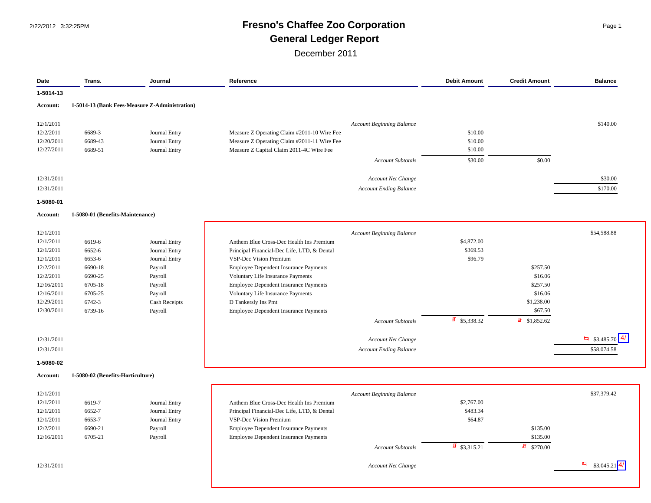# 2/22/2012 3:32:25PM **Fresno's Chaffee Zoo Corporation** Page 1 **General Ledger Report**

December 2011

| Date       | Trans.                            | Journal                                        | Reference                                    | <b>Debit Amount</b>      | <b>Credit Amount</b>     | <b>Balance</b>              |
|------------|-----------------------------------|------------------------------------------------|----------------------------------------------|--------------------------|--------------------------|-----------------------------|
| 1-5014-13  |                                   |                                                |                                              |                          |                          |                             |
| Account:   |                                   | 1-5014-13 (Bank Fees-Measure Z-Administration) |                                              |                          |                          |                             |
|            |                                   |                                                |                                              |                          |                          | \$140.00                    |
| 12/1/2011  | 6689-3                            |                                                | Account Beginning Balance                    | \$10.00                  |                          |                             |
| 12/2/2011  |                                   | Journal Entry                                  | Measure Z Operating Claim #2011-10 Wire Fee  |                          |                          |                             |
| 12/20/2011 | 6689-43                           | Journal Entry                                  | Measure Z Operating Claim #2011-11 Wire Fee  | \$10.00<br>\$10.00       |                          |                             |
| 12/27/2011 | 6689-51                           | Journal Entry                                  | Measure Z Capital Claim 2011-4C Wire Fee     |                          |                          |                             |
|            |                                   |                                                | <b>Account Subtotals</b>                     | \$30.00                  | \$0.00                   |                             |
| 12/31/2011 |                                   |                                                | Account Net Change                           |                          |                          | \$30.00                     |
| 12/31/2011 |                                   |                                                | <b>Account Ending Balance</b>                |                          |                          | \$170.00                    |
| 1-5080-01  |                                   |                                                |                                              |                          |                          |                             |
| Account:   | 1-5080-01 (Benefits-Maintenance)  |                                                |                                              |                          |                          |                             |
|            |                                   |                                                |                                              |                          |                          |                             |
| 12/1/2011  |                                   |                                                | <b>Account Beginning Balance</b>             |                          |                          | \$54,588.88                 |
| 12/1/2011  | 6619-6                            | Journal Entry                                  | Anthem Blue Cross-Dec Health Ins Premium     | \$4,872.00               |                          |                             |
| 12/1/2011  | 6652-6                            | Journal Entry                                  | Principal Financial-Dec Life, LTD, & Dental  | \$369.53                 |                          |                             |
| 12/1/2011  | 6653-6                            | Journal Entry                                  | VSP-Dec Vision Premium                       | \$96.79                  |                          |                             |
| 12/2/2011  | 6690-18                           | Payroll                                        | <b>Employee Dependent Insurance Payments</b> |                          | \$257.50                 |                             |
| 12/2/2011  | 6690-25                           | Payroll                                        | Voluntary Life Insurance Payments            |                          | \$16.06                  |                             |
| 12/16/2011 | 6705-18                           | Payroll                                        | Employee Dependent Insurance Payments        |                          | \$257.50                 |                             |
| 12/16/2011 | 6705-25                           | Payroll                                        | Voluntary Life Insurance Payments            |                          | \$16.06                  |                             |
| 12/29/2011 | 6742-3                            | Cash Receipts                                  | D Tankersly Ins Pmt                          |                          | \$1,238.00               |                             |
| 12/30/2011 | 6739-16                           | Payroll                                        | <b>Employee Dependent Insurance Payments</b> |                          | \$67.50                  |                             |
|            |                                   |                                                | <b>Account Subtotals</b>                     | $\frac{1}{2}$ \$5,338.32 | $\frac{1}{2}$ \$1,852.62 |                             |
| 12/31/2011 |                                   |                                                | Account Net Change                           |                          |                          | $\frac{1}{2}$ \$3,485.70 4/ |
| 12/31/2011 |                                   |                                                | <b>Account Ending Balance</b>                |                          |                          | \$58,074.58                 |
| 1-5080-02  |                                   |                                                |                                              |                          |                          |                             |
| Account:   | 1-5080-02 (Benefits-Horticulture) |                                                |                                              |                          |                          |                             |
| 12/1/2011  |                                   |                                                | Account Beginning Balance                    |                          |                          | \$37,379.42                 |
| 12/1/2011  | 6619-7                            | Journal Entry                                  | Anthem Blue Cross-Dec Health Ins Premium     | \$2,767.00               |                          |                             |
| 12/1/2011  | 6652-7                            | Journal Entry                                  | Principal Financial-Dec Life, LTD, & Dental  | \$483.34                 |                          |                             |
| 12/1/2011  | 6653-7                            | Journal Entry                                  | VSP-Dec Vision Premium                       | \$64.87                  |                          |                             |
| 12/2/2011  | 6690-21                           | Payroll                                        | <b>Employee Dependent Insurance Payments</b> |                          | \$135.00                 |                             |
| 12/16/2011 | 6705-21                           | Payroll                                        | <b>Employee Dependent Insurance Payments</b> |                          | \$135.00                 |                             |
|            |                                   |                                                | <b>Account Subtotals</b>                     | $\frac{1}{2}$ \$3,315.21 | $\frac{1}{2}$ \$270.00   |                             |
|            |                                   |                                                |                                              |                          |                          |                             |

12/31/2011 **12/31/2011 Account Net Change** Account Net Change **12/31/2011 12/31/2011 12/31/2011 13.045.21 14/1 1** 

 $\frac{4}{4}$  \$3,045.21 4/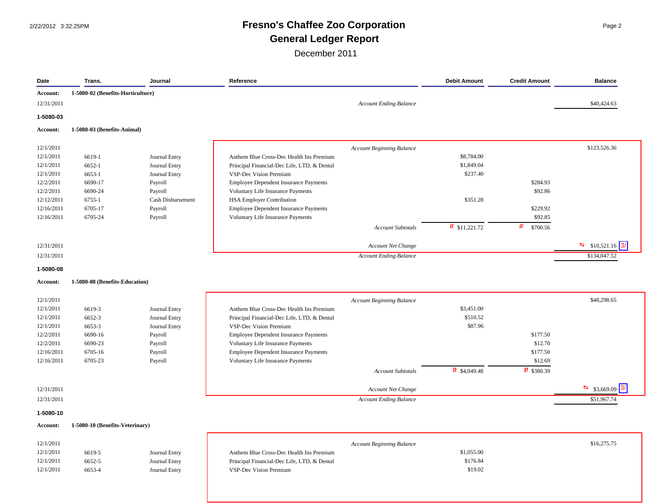# 2/22/2012 3:32:25PM **Fresno's Chaffee Zoo Corporation** Page 2 **General Ledger Report**

| Date                   | Trans.                            | Journal                      | Reference                                                                    |                                  | <b>Debit Amount</b>       | <b>Credit Amount</b>   | <b>Balance</b>               |
|------------------------|-----------------------------------|------------------------------|------------------------------------------------------------------------------|----------------------------------|---------------------------|------------------------|------------------------------|
| Account:               | 1-5080-02 (Benefits-Horticulture) |                              |                                                                              |                                  |                           |                        |                              |
| 12/31/2011             |                                   |                              |                                                                              | <b>Account Ending Balance</b>    |                           |                        | \$40,424.63                  |
| 1-5080-03              |                                   |                              |                                                                              |                                  |                           |                        |                              |
| Account:               | 1-5080-03 (Benefits-Animal)       |                              |                                                                              |                                  |                           |                        |                              |
|                        |                                   |                              |                                                                              |                                  |                           |                        |                              |
| 12/1/2011<br>12/1/2011 |                                   |                              |                                                                              | <b>Account Beginning Balance</b> | \$8,784.00                |                        | \$123,526.36                 |
| 12/1/2011              | 6619-1<br>6652-1                  | Journal Entry                | Anthem Blue Cross-Dec Health Ins Premium                                     |                                  | \$1,849.04                |                        |                              |
| 12/1/2011              |                                   | Journal Entry                | Principal Financial-Dec Life, LTD, & Dental<br><b>VSP-Dec Vision Premium</b> |                                  | \$237.40                  |                        |                              |
| 12/2/2011              | 6653-1<br>6690-17                 | Journal Entry                |                                                                              |                                  |                           | \$284.93               |                              |
| 12/2/2011              | 6690-24                           | Payroll                      | Employee Dependent Insurance Payments                                        |                                  |                           | \$92.86                |                              |
| 12/12/2011             | 6755-1                            | Payroll<br>Cash Disbursement | Voluntary Life Insurance Payments<br><b>HSA Employer Contribution</b>        |                                  | \$351.28                  |                        |                              |
| 12/16/2011             | 6705-17                           | Payroll                      | <b>Employee Dependent Insurance Payments</b>                                 |                                  |                           | \$229.92               |                              |
| 12/16/2011             | 6705-24                           | Payroll                      | Voluntary Life Insurance Payments                                            |                                  |                           | \$92.85                |                              |
|                        |                                   |                              |                                                                              | <b>Account Subtotals</b>         | $\frac{1}{2}$ \$11,221.72 | 虹<br>\$700.56          |                              |
|                        |                                   |                              |                                                                              |                                  |                           |                        |                              |
| 12/31/2011             |                                   |                              |                                                                              | Account Net Change               |                           |                        | $\frac{1}{2}$ \$10,521.16 3/ |
| 12/31/2011             |                                   |                              |                                                                              | <b>Account Ending Balance</b>    |                           |                        | \$134,047.52                 |
| 1-5080-08              |                                   |                              |                                                                              |                                  |                           |                        |                              |
| <b>Account:</b>        | 1-5080-08 (Benefits-Education)    |                              |                                                                              |                                  |                           |                        |                              |
| 12/1/2011              |                                   |                              |                                                                              | <b>Account Beginning Balance</b> |                           |                        | \$48,298.65                  |
| 12/1/2011              | 6619-3                            | Journal Entry                | Anthem Blue Cross-Dec Health Ins Premium                                     |                                  | \$3,451.00                |                        |                              |
| 12/1/2011              | 6652-3                            | Journal Entry                | Principal Financial-Dec Life, LTD, & Dental                                  |                                  | \$510.52                  |                        |                              |
| 12/1/2011              | 6653-3                            | Journal Entry                | <b>VSP-Dec Vision Premium</b>                                                |                                  | \$87.96                   |                        |                              |
| 12/2/2011              | 6690-16                           | Payroll                      | <b>Employee Dependent Insurance Payments</b>                                 |                                  |                           | \$177.50               |                              |
| 12/2/2011              | 6690-23                           | Payroll                      | Voluntary Life Insurance Payments                                            |                                  |                           | \$12.70                |                              |
| 12/16/2011             | 6705-16                           | Payroll                      | Employee Dependent Insurance Payments                                        |                                  |                           | \$177.50               |                              |
| 12/16/2011             | 6705-23                           | Payroll                      | Voluntary Life Insurance Payments                                            |                                  |                           | \$12.69                |                              |
|                        |                                   |                              |                                                                              | <b>Account Subtotals</b>         | $\frac{1}{2}$ \$4,049.48  | $\frac{1}{2}$ \$380.39 |                              |
|                        |                                   |                              |                                                                              |                                  |                           |                        |                              |

| 12/31/2011 | <b>Account Net Change</b> | $$3,669.09$ 3/ |
|------------|---------------------------|----------------|
|            |                           |                |

12/31/2011 *Account Ending Balance* \$51,967.74

#### **1-5080-10**

#### **Account: 1-5080-10 (Benefits-Veterinary)**

| 12/1/2011 |        |                    |
|-----------|--------|--------------------|
| 12/1/2011 | 6619-5 | <b>Journal Ent</b> |
| 12/1/2011 | 6652-5 | <b>Journal Ent</b> |
| 12/1/2011 | 6653-4 | Journal Ent        |

| 12/1/2011 |        |               |                                             | <b>Account Beginning Balance</b> | \$16,275.75 |
|-----------|--------|---------------|---------------------------------------------|----------------------------------|-------------|
| 12/1/2011 | 6619-5 | Journal Entry | Anthem Blue Cross-Dec Health Ins Premium    | \$1,055.00                       |             |
| 12/1/2011 | 6652-5 | Journal Entry | Principal Financial-Dec Life, LTD, & Dental | \$176.84                         |             |
| 12/1/2011 | 6653-4 | Journal Entry | VSP-Dec Vision Premium                      | \$19.02                          |             |

 $\frac{H_{\text{eq}}}{S}$  \$3,669.09 3/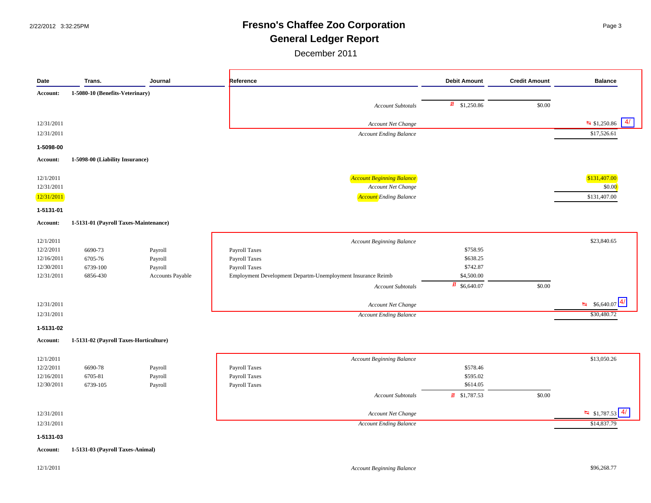# 2/22/2012 3:32:25PM **Fresno's Chaffee Zoo Corporation** Page 3 **General Ledger Report**

| Date                   | Trans.                                 | Journal            | Reference                                                   | <b>Debit Amount</b>        | <b>Credit Amount</b> | <b>Balance</b>                              |
|------------------------|----------------------------------------|--------------------|-------------------------------------------------------------|----------------------------|----------------------|---------------------------------------------|
| Account:               | 1-5080-10 (Benefits-Veterinary)        |                    |                                                             |                            |                      |                                             |
|                        |                                        |                    | <b>Account Subtotals</b>                                    | $\frac{1}{4}$ \$1,250.86   | \$0.00               |                                             |
|                        |                                        |                    |                                                             |                            |                      |                                             |
| 12/31/2011             |                                        |                    | Account Net Change                                          |                            |                      | $\overline{41}$<br>$\frac{1}{2}$ \$1,250.86 |
| 12/31/2011             |                                        |                    | <b>Account Ending Balance</b>                               |                            |                      | \$17,526.61                                 |
| 1-5098-00              |                                        |                    |                                                             |                            |                      |                                             |
| Account:               | 1-5098-00 (Liability Insurance)        |                    |                                                             |                            |                      |                                             |
| 12/1/2011              |                                        |                    | <b>Account Beginning Balance</b>                            |                            |                      | \$131,407.00                                |
| 12/31/2011             |                                        |                    | Account Net Change                                          |                            |                      | \$0.00                                      |
| 12/31/2011             |                                        |                    | <b>Account</b> Ending Balance                               |                            |                      | \$131,407.00                                |
| 1-5131-01              |                                        |                    |                                                             |                            |                      |                                             |
| Account:               | 1-5131-01 (Payroll Taxes-Maintenance)  |                    |                                                             |                            |                      |                                             |
|                        |                                        |                    |                                                             |                            |                      |                                             |
| 12/1/2011<br>12/2/2011 | 6690-73                                |                    | <b>Account Beginning Balance</b><br>Payroll Taxes           | \$758.95                   |                      | \$23,840.65                                 |
| 12/16/2011             | 6705-76                                | Payroll<br>Payroll | Payroll Taxes                                               | \$638.25                   |                      |                                             |
| 12/30/2011             | 6739-100                               | Payroll            | Payroll Taxes                                               | \$742.87                   |                      |                                             |
| 12/31/2011             | 6856-430                               | Accounts Payable   | Employment Development Departm-Unemployment Insurance Reimb | \$4,500.00                 |                      |                                             |
|                        |                                        |                    | <b>Account Subtotals</b>                                    | $\frac{1}{2}$ \$6,640.07   | \$0.00               |                                             |
|                        |                                        |                    |                                                             |                            |                      |                                             |
| 12/31/2011             |                                        |                    | Account Net Change                                          |                            |                      | $\frac{R}{24}$ \$6,640.07 4/                |
| 12/31/2011             |                                        |                    | <b>Account Ending Balance</b>                               |                            |                      | \$30,480.72                                 |
| 1-5131-02              |                                        |                    |                                                             |                            |                      |                                             |
| Account:               | 1-5131-02 (Payroll Taxes-Horticulture) |                    |                                                             |                            |                      |                                             |
| 12/1/2011              |                                        |                    | <b>Account Beginning Balance</b>                            |                            |                      | \$13,050.26                                 |
| 12/2/2011              | 6690-78                                | Payroll            | Payroll Taxes                                               | \$578.46                   |                      |                                             |
| 12/16/2011             | 6705-81                                | Payroll            | Payroll Taxes                                               | \$595.02                   |                      |                                             |
| 12/30/2011             | 6739-105                               | Payroll            | Payroll Taxes                                               | \$614.05                   |                      |                                             |
|                        |                                        |                    | <b>Account Subtotals</b>                                    | $\overline{41}$ \$1,787.53 | \$0.00               |                                             |
|                        |                                        |                    | Account Net Change                                          |                            |                      | $\frac{H}{4}$ \$1,787.53 4/                 |
| 12/31/2011             |                                        |                    | <b>Account Ending Balance</b>                               |                            |                      | \$14,837.79                                 |
| 12/31/2011             |                                        |                    |                                                             |                            |                      |                                             |
|                        |                                        |                    |                                                             |                            |                      |                                             |
| 1-5131-03<br>Account:  | 1-5131-03 (Payroll Taxes-Animal)       |                    |                                                             |                            |                      |                                             |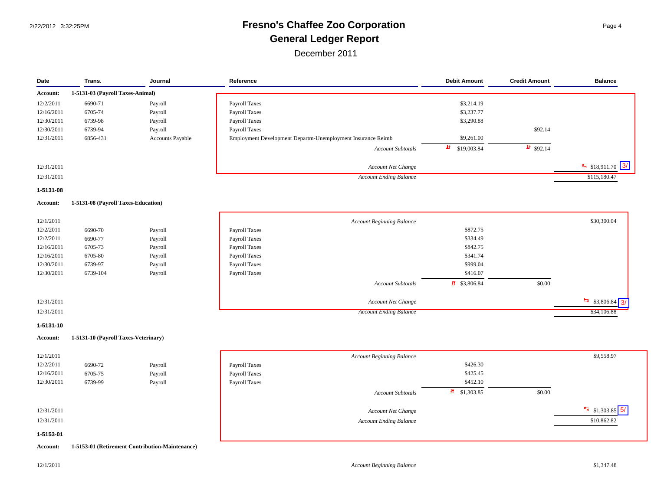# 2/22/2012 3:32:25PM **Fresno's Chaffee Zoo Corporation** Page 4 **General Ledger Report**

| Date                  | Trans.                               | Journal                                         | Reference                                                   | <b>Debit Amount</b>      | <b>Credit Amount</b>   | <b>Balance</b>                       |
|-----------------------|--------------------------------------|-------------------------------------------------|-------------------------------------------------------------|--------------------------|------------------------|--------------------------------------|
| Account:              | 1-5131-03 (Payroll Taxes-Animal)     |                                                 |                                                             |                          |                        |                                      |
| 12/2/2011             | 6690-71                              | Payroll                                         | Payroll Taxes                                               | \$3,214.19               |                        |                                      |
| 12/16/2011            | 6705-74                              | Payroll                                         | Payroll Taxes                                               | \$3,237.77               |                        |                                      |
| 12/30/2011            | 6739-98                              | Payroll                                         | Payroll Taxes                                               | \$3,290.88               |                        |                                      |
| 12/30/2011            | 6739-94                              | Payroll                                         | Payroll Taxes                                               |                          | \$92.14                |                                      |
| 12/31/2011            | 6856-431                             | Accounts Payable                                | Employment Development Departm-Unemployment Insurance Reimb | \$9,261.00               |                        |                                      |
|                       |                                      |                                                 | <b>Account Subtotals</b>                                    | 軖<br>\$19,003.84         | $\frac{1}{11}$ \$92.14 |                                      |
| 12/31/2011            |                                      |                                                 |                                                             |                          |                        | 3/<br>$\frac{H}{24}$ \$18,911.70     |
|                       |                                      |                                                 | Account Net Change                                          |                          |                        |                                      |
| 12/31/2011            |                                      |                                                 | <b>Account Ending Balance</b>                               |                          |                        | \$115,180.47                         |
| 1-5131-08             |                                      |                                                 |                                                             |                          |                        |                                      |
| Account:              | 1-5131-08 (Payroll Taxes-Education)  |                                                 |                                                             |                          |                        |                                      |
| 12/1/2011             |                                      |                                                 | <b>Account Beginning Balance</b>                            |                          |                        | \$30,300.04                          |
| 12/2/2011             | 6690-70                              | Payroll                                         | Payroll Taxes                                               | \$872.75                 |                        |                                      |
| 12/2/2011             | 6690-77                              | Payroll                                         | Payroll Taxes                                               | \$334.49                 |                        |                                      |
| 12/16/2011            | 6705-73                              | Payroll                                         | Payroll Taxes                                               | \$842.75                 |                        |                                      |
| 12/16/2011            | 6705-80                              | Payroll                                         | Payroll Taxes                                               | \$341.74                 |                        |                                      |
| 12/30/2011            | 6739-97                              | Payroll                                         | Payroll Taxes                                               | \$999.04                 |                        |                                      |
| 12/30/2011            | 6739-104                             | Payroll                                         | Payroll Taxes                                               | \$416.07                 |                        |                                      |
|                       |                                      |                                                 | <b>Account Subtotals</b>                                    | $\frac{1}{2}$ \$3,806.84 | \$0.00                 |                                      |
| 12/31/2011            |                                      |                                                 | Account Net Change                                          |                          |                        | $\frac{1}{2}$ \$3,806.84<br>3/       |
| 12/31/2011            |                                      |                                                 |                                                             |                          |                        |                                      |
|                       |                                      |                                                 | <b>Account Ending Balance</b>                               |                          |                        | \$34,106.88                          |
| 1-5131-10<br>Account: | 1-5131-10 (Payroll Taxes-Veterinary) |                                                 |                                                             |                          |                        |                                      |
| 12/1/2011             |                                      |                                                 | <b>Account Beginning Balance</b>                            |                          |                        | \$9,558.97                           |
| 12/2/2011             | 6690-72                              | Payroll                                         | Payroll Taxes                                               | \$426.30                 |                        |                                      |
| 12/16/2011            | 6705-75                              | Payroll                                         | Payroll Taxes                                               | \$425.45                 |                        |                                      |
| 12/30/2011            | 6739-99                              | Payroll                                         | Payroll Taxes                                               | \$452.10                 |                        |                                      |
|                       |                                      |                                                 |                                                             | 虾                        |                        |                                      |
|                       |                                      |                                                 | <b>Account Subtotals</b>                                    | \$1,303.85               | \$0.00                 |                                      |
| 12/31/2011            |                                      |                                                 | Account Net Change                                          |                          |                        | $\frac{H_{\text{eq}}}{S1,303.85}$ 5/ |
| 12/31/2011            |                                      |                                                 | <b>Account Ending Balance</b>                               |                          |                        | \$10,862.82                          |
| 1-5153-01             |                                      |                                                 |                                                             |                          |                        |                                      |
| Account:              |                                      | 1-5153-01 (Retirement Contribution-Maintenance) |                                                             |                          |                        |                                      |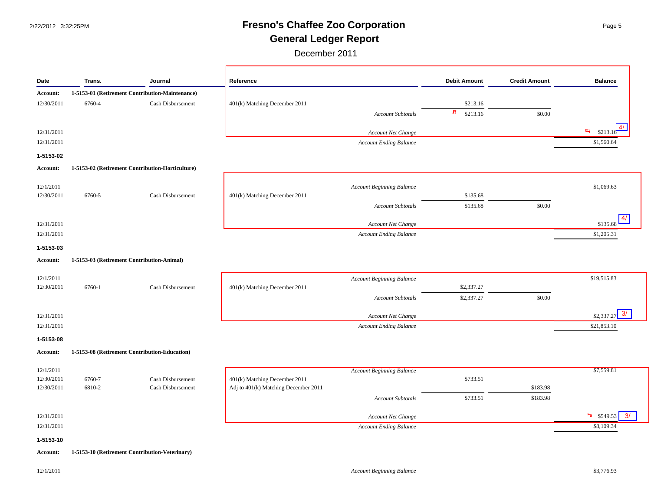# 2/22/2012 3:32:25PM **Fresno's Chaffee Zoo Corporation** Page 5 **General Ledger Report**

| Date                     | Trans.           | Journal                                          | Reference                                                             | <b>Debit Amount</b> | <b>Credit Amount</b> | <b>Balance</b>               |
|--------------------------|------------------|--------------------------------------------------|-----------------------------------------------------------------------|---------------------|----------------------|------------------------------|
| Account:                 |                  | 1-5153-01 (Retirement Contribution-Maintenance)  |                                                                       |                     |                      |                              |
| 12/30/2011               | 6760-4           | Cash Disbursement                                | 401(k) Matching December 2011                                         | \$213.16            |                      |                              |
|                          |                  |                                                  | <b>Account Subtotals</b>                                              | 虹<br>\$213.16       | \$0.00               |                              |
| 12/31/2011               |                  |                                                  | Account Net Change                                                    |                     |                      | 41<br>隔<br>\$213.16          |
| 12/31/2011               |                  |                                                  | Account Ending Balance                                                |                     |                      | \$1,560.64                   |
|                          |                  |                                                  |                                                                       |                     |                      |                              |
| 1-5153-02                |                  |                                                  |                                                                       |                     |                      |                              |
| Account:                 |                  | 1-5153-02 (Retirement Contribution-Horticulture) |                                                                       |                     |                      |                              |
| 12/1/2011                |                  |                                                  | <b>Account Beginning Balance</b>                                      |                     |                      | \$1,069.63                   |
| 12/30/2011               | 6760-5           | Cash Disbursement                                | 401(k) Matching December 2011                                         | \$135.68            |                      |                              |
|                          |                  |                                                  | <b>Account Subtotals</b>                                              | \$135.68            | \$0.00               |                              |
|                          |                  |                                                  |                                                                       |                     |                      | 4/                           |
| 12/31/2011               |                  |                                                  | Account Net Change                                                    |                     |                      | \$135.68                     |
| 12/31/2011               |                  |                                                  | <b>Account Ending Balance</b>                                         |                     |                      | \$1,205.31                   |
| 1-5153-03                |                  |                                                  |                                                                       |                     |                      |                              |
| Account:                 |                  | 1-5153-03 (Retirement Contribution-Animal)       |                                                                       |                     |                      |                              |
| 12/1/2011                |                  |                                                  | <b>Account Beginning Balance</b>                                      |                     |                      | \$19,515.83                  |
| 12/30/2011               | 6760-1           | Cash Disbursement                                | 401(k) Matching December 2011                                         | \$2,337.27          |                      |                              |
|                          |                  |                                                  | <b>Account Subtotals</b>                                              | \$2,337.27          | \$0.00               |                              |
|                          |                  |                                                  |                                                                       |                     |                      |                              |
| 12/31/2011               |                  |                                                  | Account Net Change                                                    |                     |                      | $$2,337.27$ $\boxed{3/}$     |
| 12/31/2011               |                  |                                                  | <b>Account Ending Balance</b>                                         |                     |                      | \$21,853.10                  |
| 1-5153-08                |                  |                                                  |                                                                       |                     |                      |                              |
| Account:                 |                  | 1-5153-08 (Retirement Contribution-Education)    |                                                                       |                     |                      |                              |
|                          |                  |                                                  |                                                                       |                     |                      |                              |
| 12/1/2011                |                  |                                                  | <b>Account Beginning Balance</b>                                      |                     |                      | \$7,559.81                   |
| 12/30/2011<br>12/30/2011 | 6760-7<br>6810-2 | Cash Disbursement<br>Cash Disbursement           | 401(k) Matching December 2011<br>Adj to 401(k) Matching December 2011 | \$733.51            | \$183.98             |                              |
|                          |                  |                                                  | <b>Account Subtotals</b>                                              | \$733.51            | \$183.98             |                              |
|                          |                  |                                                  |                                                                       |                     |                      |                              |
| 12/31/2011               |                  |                                                  | Account Net Change                                                    |                     |                      | $\frac{1}{2}$ \$549.53<br>3/ |
| 12/31/2011               |                  |                                                  | <b>Account Ending Balance</b>                                         |                     |                      | \$8,109.34                   |
| 1-5153-10                |                  |                                                  |                                                                       |                     |                      |                              |
| <b>Account:</b>          |                  | 1-5153-10 (Retirement Contribution-Veterinary)   |                                                                       |                     |                      |                              |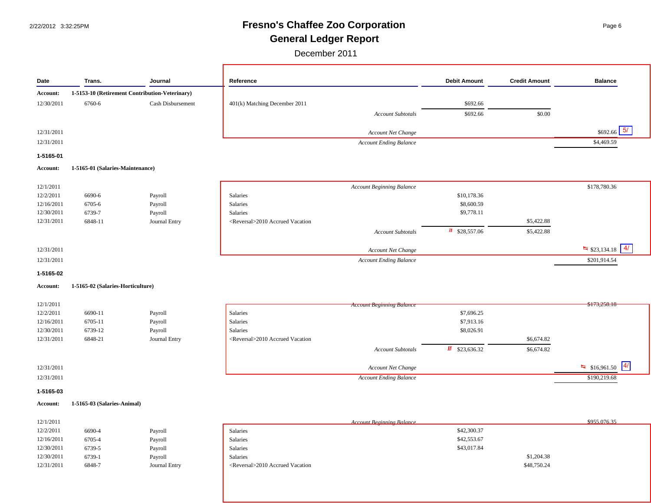# 2/22/2012 3:32:25PM **Fresno's Chaffee Zoo Corporation** Page 6 **General Ledger Report**

December 2011

| Date                   | Trans.                            | Journal                                        | Reference                                    |  | <b>Debit Amount</b>       | <b>Credit Amount</b> | <b>Balance</b>                   |
|------------------------|-----------------------------------|------------------------------------------------|----------------------------------------------|--|---------------------------|----------------------|----------------------------------|
| Account:               |                                   | 1-5153-10 (Retirement Contribution-Veterinary) |                                              |  |                           |                      |                                  |
| 12/30/2011             | 6760-6                            | Cash Disbursement                              | 401(k) Matching December 2011                |  | \$692.66                  |                      |                                  |
|                        |                                   |                                                | <b>Account Subtotals</b>                     |  | \$692.66                  | \$0.00               |                                  |
|                        |                                   |                                                |                                              |  |                           |                      |                                  |
| 12/31/2011             |                                   |                                                | Account Net Change                           |  |                           |                      | $\overline{5/}$<br>\$692.66      |
| 12/31/2011             |                                   |                                                | <b>Account Ending Balance</b>                |  |                           |                      | \$4,469.59                       |
| 1-5165-01              |                                   |                                                |                                              |  |                           |                      |                                  |
| Account:               | 1-5165-01 (Salaries-Maintenance)  |                                                |                                              |  |                           |                      |                                  |
|                        |                                   |                                                |                                              |  |                           |                      | \$178,780.36                     |
| 12/1/2011<br>12/2/2011 | 6690-6                            | Payroll                                        | <b>Account Beginning Balance</b><br>Salaries |  | \$10,178.36               |                      |                                  |
| 12/16/2011             | 6705-6                            | Payroll                                        | Salaries                                     |  | \$8,600.59                |                      |                                  |
| 12/30/2011             | 6739-7                            | Payroll                                        | Salaries                                     |  | \$9,778.11                |                      |                                  |
| 12/31/2011             | 6848-11                           | Journal Entry                                  | <reversal>2010 Accrued Vacation</reversal>   |  |                           | \$5,422.88           |                                  |
|                        |                                   |                                                | <b>Account Subtotals</b>                     |  | $\frac{1}{2}$ \$28,557.06 | \$5,422.88           |                                  |
|                        |                                   |                                                |                                              |  |                           |                      | $\sqrt{4/}$                      |
| 12/31/2011             |                                   |                                                | Account Net Change                           |  |                           |                      | $\frac{1}{2}$ \$23,134.18        |
| 12/31/2011             |                                   |                                                | <b>Account Ending Balance</b>                |  |                           |                      | \$201,914.54                     |
| 1-5165-02              |                                   |                                                |                                              |  |                           |                      |                                  |
| Account:               | 1-5165-02 (Salaries-Horticulture) |                                                |                                              |  |                           |                      |                                  |
| 12/1/2011              |                                   |                                                | <b>Account Beginning Bulance</b>             |  |                           |                      | \$173,258.18                     |
| 12/2/2011              | 6690-11                           | Payroll                                        | Salaries                                     |  | \$7,696.25                |                      |                                  |
| 12/16/2011             | 6705-11                           | Payroll                                        | Salaries                                     |  | \$7,913.16                |                      |                                  |
| 12/30/2011             | 6739-12                           | Payroll                                        | Salaries                                     |  | \$8,026.91                |                      |                                  |
| 12/31/2011             | 6848-21                           | Journal Entry                                  | <reversal>2010 Accrued Vacation</reversal>   |  |                           | \$6,674.82           |                                  |
|                        |                                   |                                                | <b>Account Subtotals</b>                     |  | $\frac{1}{2}$ \$23,636.32 | \$6,674.82           |                                  |
| 12/31/2011             |                                   |                                                | Account Net Change                           |  |                           |                      | 4/<br>$\frac{H}{-1}$ \$16,961.50 |
| 12/31/2011             |                                   |                                                | <b>Account Ending Balance</b>                |  |                           |                      | \$190,219.68                     |
| 1-5165-03              |                                   |                                                |                                              |  |                           |                      |                                  |
| Account:               | 1-5165-03 (Salaries-Animal)       |                                                |                                              |  |                           |                      |                                  |
|                        |                                   |                                                |                                              |  |                           |                      |                                  |
| 12/1/2011              |                                   |                                                | <b>Account Reginning Ralance</b>             |  |                           |                      | \$955,076.35                     |
| 12/2/2011              | 6690-4                            | Payroll                                        | Salaries                                     |  | \$42,300.37               |                      |                                  |
| 12/16/2011             | 6705-4                            | Payroll                                        | Salaries                                     |  | \$42,553.67               |                      |                                  |
| 12/30/2011             | 6739-5                            | Payroll                                        | Salaries                                     |  | \$43,017.84               |                      |                                  |

12/31/2011 6848-7 Journal Entry <Reversal>2010 Accrued Vacation \$48,750.24

 $12/30/2011$  6739-1 Payroll Salaries  $$1,204.38$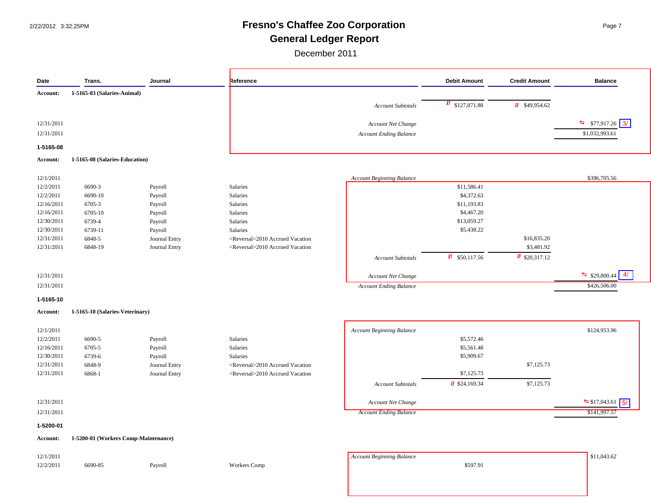# 2/22/2012 3:32:25PM **Fresno's Chaffee Zoo Corporation** Page 7 **General Ledger Report**

| Date       | Trans.                               | Journal       | Reference                                  |                                  | <b>Debit Amount</b>         | <b>Credit Amount</b>      | <b>Balance</b>                                         |
|------------|--------------------------------------|---------------|--------------------------------------------|----------------------------------|-----------------------------|---------------------------|--------------------------------------------------------|
| Account:   | 1-5165-03 (Salaries-Animal)          |               |                                            |                                  |                             |                           |                                                        |
|            |                                      |               |                                            | <b>Account Subtotals</b>         | $\frac{1}{2}$ \$127,871.88  | $\sqrt{41}$ \$49,954.62   |                                                        |
|            |                                      |               |                                            |                                  |                             |                           |                                                        |
| 12/31/2011 |                                      |               |                                            | Account Net Change               |                             |                           | $\frac{4}{14}$ \$77,917.26 3/                          |
| 12/31/2011 |                                      |               |                                            | <b>Account Ending Balance</b>    |                             |                           | \$1,032,993.61                                         |
| 1-5165-08  |                                      |               |                                            |                                  |                             |                           |                                                        |
| Account:   | 1-5165-08 (Salaries-Education)       |               |                                            |                                  |                             |                           |                                                        |
|            |                                      |               |                                            |                                  |                             |                           |                                                        |
| 12/1/2011  |                                      |               |                                            | <b>Account Beginning Balance</b> |                             |                           | \$396,705.56                                           |
| 12/2/2011  | 6690-3                               | Payroll       | Salaries                                   |                                  | \$11,586.41                 |                           |                                                        |
| 12/2/2011  | 6690-10                              | Payroll       | Salaries                                   |                                  | \$4,372.63                  |                           |                                                        |
| 12/16/2011 | 6705-3                               | Payroll       | Salaries                                   |                                  | \$11,193.83                 |                           |                                                        |
| 12/16/2011 | 6705-10                              | Payroll       | Salaries                                   |                                  | \$4,467.20                  |                           |                                                        |
| 12/30/2011 | 6739-4                               | Payroll       | Salaries                                   |                                  | \$13,059.27                 |                           |                                                        |
| 12/30/2011 | 6739-11                              | Payroll       | Salaries                                   |                                  | \$5,438.22                  |                           |                                                        |
| 12/31/2011 | 6848-5                               | Journal Entry | <reversal>2010 Accrued Vacation</reversal> |                                  |                             | \$16,835.20               |                                                        |
| 12/31/2011 | 6848-19                              | Journal Entry | <reversal>2010 Accrued Vacation</reversal> |                                  |                             | \$3,481.92                |                                                        |
|            |                                      |               |                                            | <b>Account Subtotals</b>         | $\overline{45}$ \$50,117.56 | $\frac{1}{2}$ \$20,317.12 |                                                        |
| 12/31/2011 |                                      |               |                                            | Account Net Change               |                             |                           | $\frac{H_{\overline{H}}}{\sqrt{29}}$ \$29,800.44<br>4/ |
| 12/31/2011 |                                      |               |                                            | <b>Account Ending Balance</b>    |                             |                           | \$426,506.00                                           |
| 1-5165-10  |                                      |               |                                            |                                  |                             |                           |                                                        |
| Account:   | 1-5165-10 (Salaries-Veterinary)      |               |                                            |                                  |                             |                           |                                                        |
|            |                                      |               |                                            |                                  |                             |                           |                                                        |
| 12/1/2011  |                                      |               |                                            | <b>Account Beginning Balance</b> |                             |                           | \$124,953.96                                           |
| 12/2/2011  | 6690-5                               | Payroll       | Salaries                                   |                                  | \$5,572.46                  |                           |                                                        |
| 12/16/2011 | 6705-5                               | Payroll       | Salaries                                   |                                  | \$5,561.48                  |                           |                                                        |
| 12/30/2011 | 6739-6                               | Payroll       | Salaries                                   |                                  | \$5,909.67                  |                           |                                                        |
| 12/31/2011 | 6848-9                               | Journal Entry | <reversal>2010 Accrued Vacation</reversal> |                                  |                             | \$7,125.73                |                                                        |
| 12/31/2011 | 6868-1                               | Journal Entry | <reversal>2010 Accrued Vacation</reversal> |                                  | \$7,125.73                  |                           |                                                        |
|            |                                      |               |                                            | <b>Account Subtotals</b>         | $\sqrt{15}$ \$24,169.34     | \$7,125.73                |                                                        |
| 12/31/2011 |                                      |               |                                            | Account Net Change               |                             |                           | $\frac{1}{2}$ \$17,043.61<br>5/                        |
|            |                                      |               |                                            |                                  |                             |                           |                                                        |
| 12/31/2011 |                                      |               |                                            | <b>Account Ending Balance</b>    |                             |                           | \$141,997.57                                           |
| 1-5200-01  |                                      |               |                                            |                                  |                             |                           |                                                        |
| Account:   | 1-5200-01 (Workers Comp-Maintenance) |               |                                            |                                  |                             |                           |                                                        |
| 12/1/2011  |                                      |               |                                            | <b>Account Beginning Balance</b> |                             |                           | \$11,043.62                                            |
| 12/2/2011  | 6690-85                              | Payroll       | Workers Comp                               |                                  | \$597.91                    |                           |                                                        |
|            |                                      |               |                                            |                                  |                             |                           |                                                        |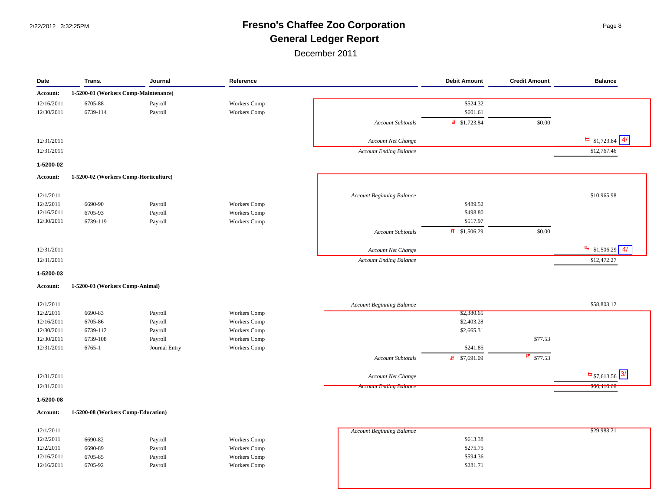# 2/22/2012 3:32:25PM **Fresno's Chaffee Zoo Corporation** Page 8 **General Ledger Report**

| Date<br>Trans.<br>Journal |                                       | Reference     |                     | <b>Debit Amount</b>              | <b>Credit Amount</b>       | <b>Balance</b>        |                                         |
|---------------------------|---------------------------------------|---------------|---------------------|----------------------------------|----------------------------|-----------------------|-----------------------------------------|
| Account:                  | 1-5200-01 (Workers Comp-Maintenance)  |               |                     |                                  |                            |                       |                                         |
| 12/16/2011                | 6705-88                               | Payroll       | Workers Comp        |                                  | \$524.32                   |                       |                                         |
| 12/30/2011                | 6739-114                              | Payroll       | <b>Workers</b> Comp |                                  | \$601.61                   |                       |                                         |
|                           |                                       |               |                     | <b>Account Subtotals</b>         | $\overline{45}$ \$1,723.84 | \$0.00                |                                         |
|                           |                                       |               |                     |                                  |                            |                       |                                         |
| 12/31/2011                |                                       |               |                     | Account Net Change               |                            |                       | $\frac{H_{\overline{H}}}{S1,723.84}$ 4/ |
| 12/31/2011                |                                       |               |                     | <b>Account Ending Balance</b>    |                            |                       | \$12,767.46                             |
| 1-5200-02                 |                                       |               |                     |                                  |                            |                       |                                         |
| Account:                  | 1-5200-02 (Workers Comp-Horticulture) |               |                     |                                  |                            |                       |                                         |
|                           |                                       |               |                     |                                  |                            |                       |                                         |
| 12/1/2011                 |                                       |               |                     | <b>Account Beginning Balance</b> |                            |                       | \$10,965.98                             |
| 12/2/2011                 | 6690-90                               | Payroll       | Workers Comp        |                                  | \$489.52                   |                       |                                         |
| 12/16/2011                | 6705-93                               | Payroll       | Workers Comp        |                                  | \$498.80                   |                       |                                         |
| 12/30/2011                | 6739-119                              | Payroll       | Workers Comp        |                                  | \$517.97                   |                       |                                         |
|                           |                                       |               |                     | <b>Account Subtotals</b>         | $\overline{41}$ \$1,506.29 | \$0.00                |                                         |
|                           |                                       |               |                     |                                  |                            |                       |                                         |
| 12/31/2011                |                                       |               |                     | Account Net Change               |                            |                       | $\frac{1}{2}$ \$1,506.29 4/             |
| 12/31/2011                |                                       |               |                     | <b>Account Ending Balance</b>    |                            |                       | \$12,472.27                             |
| 1-5200-03                 |                                       |               |                     |                                  |                            |                       |                                         |
| Account:                  | 1-5200-03 (Workers Comp-Animal)       |               |                     |                                  |                            |                       |                                         |
|                           |                                       |               |                     |                                  |                            |                       |                                         |
| 12/1/2011                 |                                       |               |                     | <b>Account Beginning Balance</b> |                            |                       | \$58,803.12                             |
| 12/2/2011                 | 6690-83                               | Payroll       | Workers Comp        |                                  | \$2,380.65                 |                       |                                         |
| 12/16/2011                | 6705-86                               | Payroll       | Workers Comp        |                                  | \$2,403.28                 |                       |                                         |
| 12/30/2011                | 6739-112                              | Payroll       | Workers Comp        |                                  | \$2,665.31                 |                       |                                         |
| 12/30/2011                | 6739-108                              | Payroll       | Workers Comp        |                                  |                            | \$77.53               |                                         |
| 12/31/2011                | 6765-1                                | Journal Entry | <b>Workers</b> Comp |                                  | \$241.85                   |                       |                                         |
|                           |                                       |               |                     | <b>Account Subtotals</b>         | $\frac{1}{21}$ \$7,691.09  | $\frac{1}{2}$ \$77.53 |                                         |
|                           |                                       |               |                     |                                  |                            |                       |                                         |
| 12/31/2011                |                                       |               |                     | Account Net Change               |                            |                       | $\frac{H_{\overline{u}}}{S7,613.56}$ 3/ |
| 12/31/2011                |                                       |               |                     | <b>Account Ending Balance</b>    |                            |                       | \$66,416.68                             |
| 1-5200-08                 |                                       |               |                     |                                  |                            |                       |                                         |
| Account:                  | 1-5200-08 (Workers Comp-Education)    |               |                     |                                  |                            |                       |                                         |
|                           |                                       |               |                     |                                  |                            |                       |                                         |
| 12/1/2011<br>12/2/2011    |                                       |               |                     | <b>Account Beginning Balance</b> | \$613.38                   |                       | \$29,983.21                             |
|                           | 6690-82                               | Payroll       | Workers Comp        |                                  | \$275.75                   |                       |                                         |
| 12/2/2011<br>12/16/2011   | 6690-89                               | Payroll       | Workers Comp        |                                  | \$594.36                   |                       |                                         |
|                           | 6705-85                               | Payroll       | Workers Comp        |                                  | \$281.71                   |                       |                                         |
| 12/16/2011                | 6705-92                               | Payroll       | <b>Workers</b> Comp |                                  |                            |                       |                                         |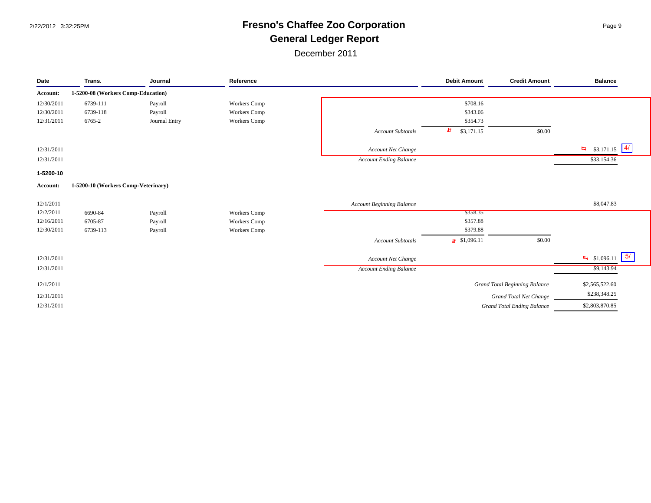# 2/22/2012 3:32:25PM **Fresno's Chaffee Zoo Corporation** Page 9 **General Ledger Report**

| Date       | Trans.                              | Journal       | Reference           |                                  | <b>Debit Amount</b>      | <b>Credit Amount</b>                 | <b>Balance</b>              |
|------------|-------------------------------------|---------------|---------------------|----------------------------------|--------------------------|--------------------------------------|-----------------------------|
| Account:   | 1-5200-08 (Workers Comp-Education)  |               |                     |                                  |                          |                                      |                             |
| 12/30/2011 | 6739-111                            | Payroll       | <b>Workers Comp</b> |                                  | \$708.16                 |                                      |                             |
| 12/30/2011 | 6739-118                            | Payroll       | <b>Workers Comp</b> |                                  | \$343.06                 |                                      |                             |
| 12/31/2011 | 6765-2                              | Journal Entry | <b>Workers Comp</b> |                                  | \$354.73                 |                                      |                             |
|            |                                     |               |                     | <b>Account Subtotals</b>         | 虾<br>\$3,171.15          | \$0.00                               |                             |
| 12/31/2011 |                                     |               |                     | Account Net Change               |                          |                                      | $\frac{1}{4}$ \$3,171.15 4/ |
| 12/31/2011 |                                     |               |                     | <b>Account Ending Balance</b>    |                          |                                      | \$33,154.36                 |
| 1-5200-10  |                                     |               |                     |                                  |                          |                                      |                             |
| Account:   | 1-5200-10 (Workers Comp-Veterinary) |               |                     |                                  |                          |                                      |                             |
| 12/1/2011  |                                     |               |                     | <b>Account Beginning Balance</b> |                          |                                      | \$8,047.83                  |
| 12/2/2011  | 6690-84                             | Payroll       | <b>Workers</b> Comp |                                  | \$358.35                 |                                      |                             |
| 12/16/2011 | 6705-87                             | Payroll       | Workers Comp        |                                  | \$357.88                 |                                      |                             |
| 12/30/2011 | 6739-113                            | Payroll       | Workers Comp        |                                  | \$379.88                 |                                      |                             |
|            |                                     |               |                     | Account Subtotals                | $\frac{1}{2}$ \$1,096.11 | \$0.00                               |                             |
| 12/31/2011 |                                     |               |                     | Account Net Change               |                          |                                      | $\frac{1}{2}$ \$1,096.11 5/ |
| 12/31/2011 |                                     |               |                     | <b>Account Ending Balance</b>    |                          |                                      | \$9,143.94                  |
| 12/1/2011  |                                     |               |                     |                                  |                          | <b>Grand Total Beginning Balance</b> | \$2,565,522.60              |
| 12/31/2011 |                                     |               |                     |                                  |                          | <b>Grand Total Net Change</b>        | \$238,348.25                |
| 12/31/2011 |                                     |               |                     |                                  |                          | <b>Grand Total Ending Balance</b>    | \$2,803,870.85              |
|            |                                     |               |                     |                                  |                          |                                      |                             |